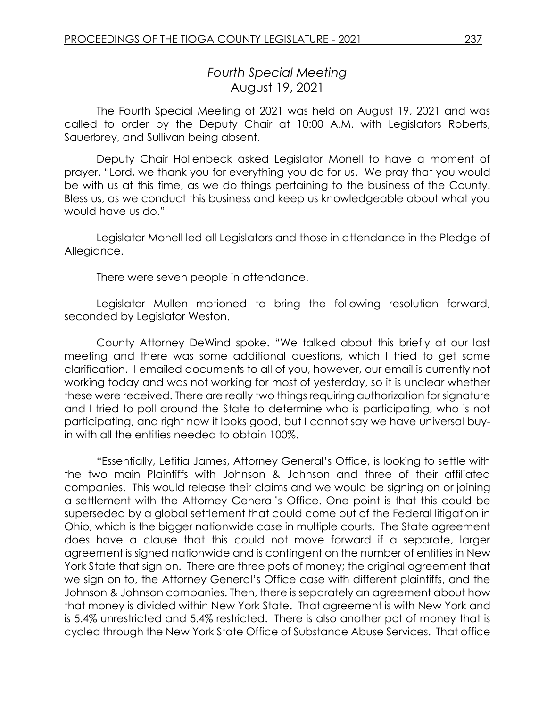## *Fourth Special Meeting* August 19, 2021

The Fourth Special Meeting of 2021 was held on August 19, 2021 and was called to order by the Deputy Chair at 10:00 A.M. with Legislators Roberts, Sauerbrey, and Sullivan being absent.

Deputy Chair Hollenbeck asked Legislator Monell to have a moment of prayer. "Lord, we thank you for everything you do for us. We pray that you would be with us at this time, as we do things pertaining to the business of the County. Bless us, as we conduct this business and keep us knowledgeable about what you would have us do."

Legislator Monell led all Legislators and those in attendance in the Pledge of Allegiance.

There were seven people in attendance.

Legislator Mullen motioned to bring the following resolution forward, seconded by Legislator Weston.

County Attorney DeWind spoke. "We talked about this briefly at our last meeting and there was some additional questions, which I tried to get some clarification. I emailed documents to all of you, however, our email is currently not working today and was not working for most of yesterday, so it is unclear whether these were received. There are really two things requiring authorization for signature and I tried to poll around the State to determine who is participating, who is not participating, and right now it looks good, but I cannot say we have universal buyin with all the entities needed to obtain 100%.

"Essentially, Letitia James, Attorney General's Office, is looking to settle with the two main Plaintiffs with Johnson & Johnson and three of their affiliated companies. This would release their claims and we would be signing on or joining a settlement with the Attorney General's Office. One point is that this could be superseded by a global settlement that could come out of the Federal litigation in Ohio, which is the bigger nationwide case in multiple courts. The State agreement does have a clause that this could not move forward if a separate, larger agreement is signed nationwide and is contingent on the number of entities in New York State that sign on. There are three pots of money; the original agreement that we sign on to, the Attorney General's Office case with different plaintiffs, and the Johnson & Johnson companies. Then, there is separately an agreement about how that money is divided within New York State. That agreement is with New York and is 5.4% unrestricted and 5.4% restricted. There is also another pot of money that is cycled through the New York State Office of Substance Abuse Services. That office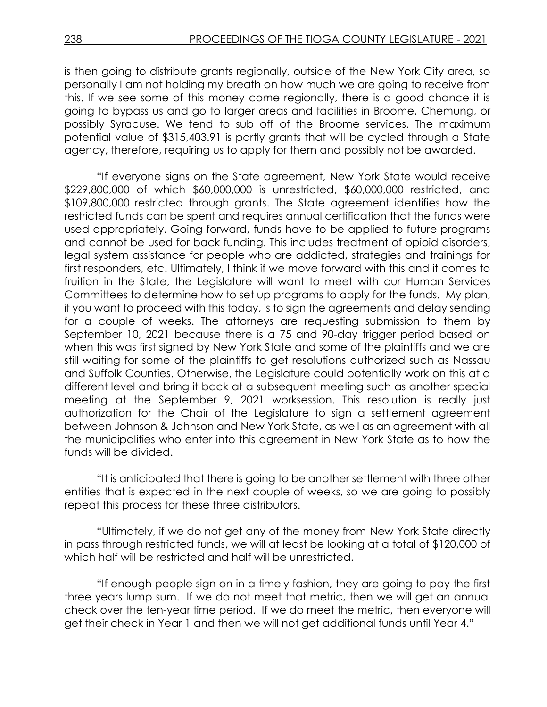is then going to distribute grants regionally, outside of the New York City area, so personally I am not holding my breath on how much we are going to receive from this. If we see some of this money come regionally, there is a good chance it is going to bypass us and go to larger areas and facilities in Broome, Chemung, or possibly Syracuse. We tend to sub off of the Broome services. The maximum potential value of \$315,403.91 is partly grants that will be cycled through a State agency, therefore, requiring us to apply for them and possibly not be awarded.

"If everyone signs on the State agreement, New York State would receive \$229,800,000 of which \$60,000,000 is unrestricted, \$60,000,000 restricted, and \$109,800,000 restricted through grants. The State agreement identifies how the restricted funds can be spent and requires annual certification that the funds were used appropriately. Going forward, funds have to be applied to future programs and cannot be used for back funding. This includes treatment of opioid disorders, legal system assistance for people who are addicted, strategies and trainings for first responders, etc. Ultimately, I think if we move forward with this and it comes to fruition in the State, the Legislature will want to meet with our Human Services Committees to determine how to set up programs to apply for the funds. My plan, if you want to proceed with this today, is to sign the agreements and delay sending for a couple of weeks. The attorneys are requesting submission to them by September 10, 2021 because there is a 75 and 90-day trigger period based on when this was first signed by New York State and some of the plaintiffs and we are still waiting for some of the plaintiffs to get resolutions authorized such as Nassau and Suffolk Counties. Otherwise, the Legislature could potentially work on this at a different level and bring it back at a subsequent meeting such as another special meeting at the September 9, 2021 worksession. This resolution is really just authorization for the Chair of the Legislature to sign a settlement agreement between Johnson & Johnson and New York State, as well as an agreement with all the municipalities who enter into this agreement in New York State as to how the funds will be divided.

"It is anticipated that there is going to be another settlement with three other entities that is expected in the next couple of weeks, so we are going to possibly repeat this process for these three distributors.

"Ultimately, if we do not get any of the money from New York State directly in pass through restricted funds, we will at least be looking at a total of \$120,000 of which half will be restricted and half will be unrestricted.

"If enough people sign on in a timely fashion, they are going to pay the first three years lump sum. If we do not meet that metric, then we will get an annual check over the ten-year time period. If we do meet the metric, then everyone will get their check in Year 1 and then we will not get additional funds until Year 4."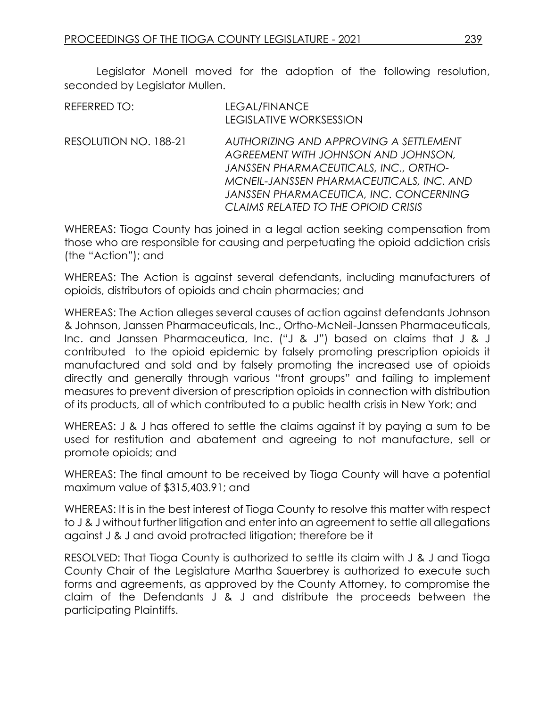Legislator Monell moved for the adoption of the following resolution, seconded by Legislator Mullen.

| REFERRED TO:          | LEGAL/FINANCE<br><b>LEGISLATIVE WORKSESSION</b>                                                                                                                                                                                                            |
|-----------------------|------------------------------------------------------------------------------------------------------------------------------------------------------------------------------------------------------------------------------------------------------------|
| RESOLUTION NO. 188-21 | AUTHORIZING AND APPROVING A SETTLEMENT<br>AGREEMENT WITH JOHNSON AND JOHNSON,<br><b>JANSSEN PHARMACEUTICALS, INC., ORTHO-</b><br>MCNEIL-JANSSEN PHARMACEUTICALS, INC. AND<br>JANSSEN PHARMACEUTICA, INC. CONCERNING<br>CLAIMS RELATED TO THE OPIOID CRISIS |

WHEREAS: Tioga County has joined in a legal action seeking compensation from those who are responsible for causing and perpetuating the opioid addiction crisis (the "Action"); and

WHEREAS: The Action is against several defendants, including manufacturers of opioids, distributors of opioids and chain pharmacies; and

WHEREAS: The Action alleges several causes of action against defendants Johnson & Johnson, Janssen Pharmaceuticals, Inc., Ortho-McNeil-Janssen Pharmaceuticals, Inc. and Janssen Pharmaceutica, Inc. ("J & J") based on claims that J & J contributed to the opioid epidemic by falsely promoting prescription opioids it manufactured and sold and by falsely promoting the increased use of opioids directly and generally through various "front groups" and failing to implement measures to prevent diversion of prescription opioids in connection with distribution of its products, all of which contributed to a public health crisis in New York; and

WHEREAS: J & J has offered to settle the claims against it by paying a sum to be used for restitution and abatement and agreeing to not manufacture, sell or promote opioids; and

WHEREAS: The final amount to be received by Tioga County will have a potential maximum value of \$315,403.91; and

WHEREAS: It is in the best interest of Tioga County to resolve this matter with respect to J & J without further litigation and enter into an agreement to settle all allegations against J & J and avoid protracted litigation; therefore be it

RESOLVED: That Tioga County is authorized to settle its claim with J & J and Tioga County Chair of the Legislature Martha Sauerbrey is authorized to execute such forms and agreements, as approved by the County Attorney, to compromise the claim of the Defendants J & J and distribute the proceeds between the participating Plaintiffs.